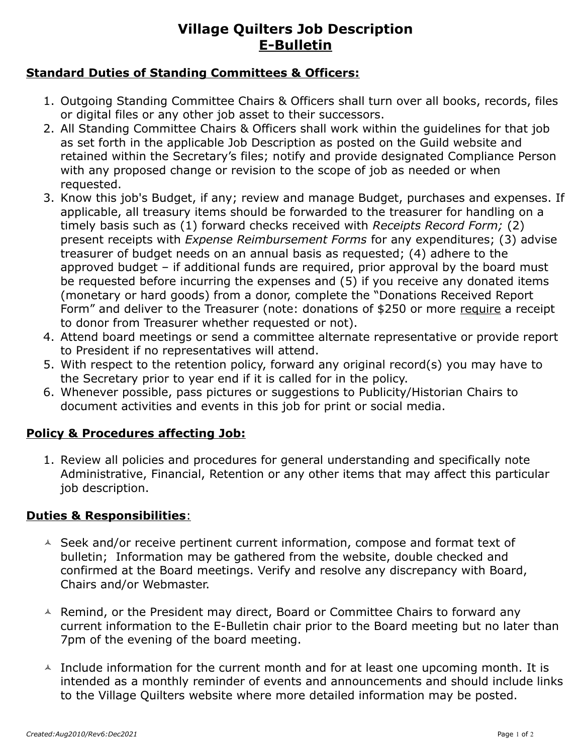# **Village Quilters Job Description E-Bulletin**

#### **Standard Duties of Standing Committees & Officers:**

- 1. Outgoing Standing Committee Chairs & Officers shall turn over all books, records, files or digital files or any other job asset to their successors.
- 2. All Standing Committee Chairs & Officers shall work within the guidelines for that job as set forth in the applicable Job Description as posted on the Guild website and retained within the Secretary's files; notify and provide designated Compliance Person with any proposed change or revision to the scope of job as needed or when requested.
- 3. Know this job's Budget, if any; review and manage Budget, purchases and expenses. If applicable, all treasury items should be forwarded to the treasurer for handling on a timely basis such as (1) forward checks received with *Receipts Record Form;* (2) present receipts with *Expense Reimbursement Forms* for any expenditures; (3) advise treasurer of budget needs on an annual basis as requested; (4) adhere to the approved budget – if additional funds are required, prior approval by the board must be requested before incurring the expenses and (5) if you receive any donated items (monetary or hard goods) from a donor, complete the "Donations Received Report Form" and deliver to the Treasurer (note: donations of \$250 or more require a receipt to donor from Treasurer whether requested or not).
- 4. Attend board meetings or send a committee alternate representative or provide report to President if no representatives will attend.
- 5. With respect to the retention policy, forward any original record(s) you may have to the Secretary prior to year end if it is called for in the policy.
- 6. Whenever possible, pass pictures or suggestions to Publicity/Historian Chairs to document activities and events in this job for print or social media.

### **Policy & Procedures affecting Job:**

1. Review all policies and procedures for general understanding and specifically note Administrative, Financial, Retention or any other items that may affect this particular job description.

### **Duties & Responsibilities**:

- $\triangle$  Seek and/or receive pertinent current information, compose and format text of bulletin; Information may be gathered from the website, double checked and confirmed at the Board meetings. Verify and resolve any discrepancy with Board, Chairs and/or Webmaster.
- $\triangle$  Remind, or the President may direct, Board or Committee Chairs to forward any current information to the E-Bulletin chair prior to the Board meeting but no later than 7pm of the evening of the board meeting.
- $\overline{a}$  Include information for the current month and for at least one upcoming month. It is intended as a monthly reminder of events and announcements and should include links to the Village Quilters website where more detailed information may be posted.